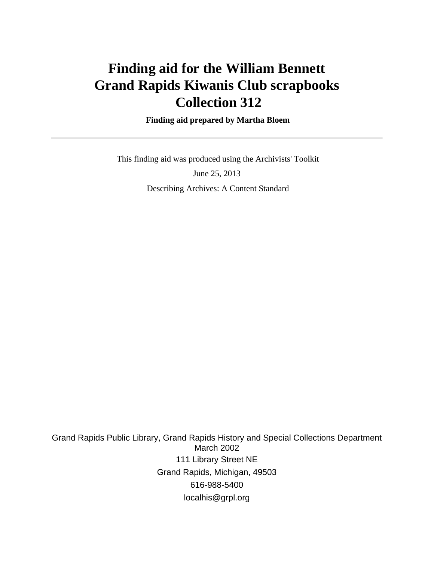# **Finding aid for the William Bennett Grand Rapids Kiwanis Club scrapbooks Collection 312**

 **Finding aid prepared by Martha Bloem**

 This finding aid was produced using the Archivists' Toolkit June 25, 2013

Describing Archives: A Content Standard

Grand Rapids Public Library, Grand Rapids History and Special Collections Department March 2002 111 Library Street NE Grand Rapids, Michigan, 49503 616-988-5400 localhis@grpl.org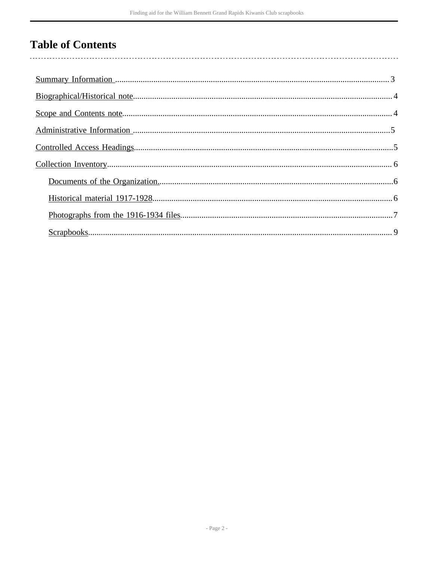# **Table of Contents**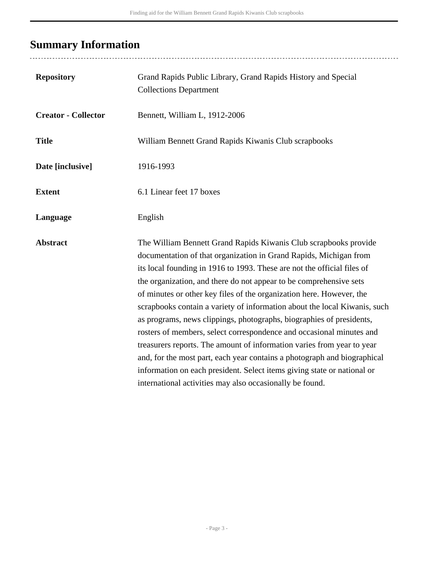# <span id="page-2-0"></span>**Summary Information**

| <b>Repository</b>          | Grand Rapids Public Library, Grand Rapids History and Special<br><b>Collections Department</b>                                                                                                                                                                                                                                                                                                                                                                                                                                                                                                                                                                                                                                                                                                                                                                                           |
|----------------------------|------------------------------------------------------------------------------------------------------------------------------------------------------------------------------------------------------------------------------------------------------------------------------------------------------------------------------------------------------------------------------------------------------------------------------------------------------------------------------------------------------------------------------------------------------------------------------------------------------------------------------------------------------------------------------------------------------------------------------------------------------------------------------------------------------------------------------------------------------------------------------------------|
| <b>Creator - Collector</b> | Bennett, William L, 1912-2006                                                                                                                                                                                                                                                                                                                                                                                                                                                                                                                                                                                                                                                                                                                                                                                                                                                            |
| <b>Title</b>               | William Bennett Grand Rapids Kiwanis Club scrapbooks                                                                                                                                                                                                                                                                                                                                                                                                                                                                                                                                                                                                                                                                                                                                                                                                                                     |
| Date [inclusive]           | 1916-1993                                                                                                                                                                                                                                                                                                                                                                                                                                                                                                                                                                                                                                                                                                                                                                                                                                                                                |
| <b>Extent</b>              | 6.1 Linear feet 17 boxes                                                                                                                                                                                                                                                                                                                                                                                                                                                                                                                                                                                                                                                                                                                                                                                                                                                                 |
| Language                   | English                                                                                                                                                                                                                                                                                                                                                                                                                                                                                                                                                                                                                                                                                                                                                                                                                                                                                  |
| <b>Abstract</b>            | The William Bennett Grand Rapids Kiwanis Club scrapbooks provide<br>documentation of that organization in Grand Rapids, Michigan from<br>its local founding in 1916 to 1993. These are not the official files of<br>the organization, and there do not appear to be comprehensive sets<br>of minutes or other key files of the organization here. However, the<br>scrapbooks contain a variety of information about the local Kiwanis, such<br>as programs, news clippings, photographs, biographies of presidents,<br>rosters of members, select correspondence and occasional minutes and<br>treasurers reports. The amount of information varies from year to year<br>and, for the most part, each year contains a photograph and biographical<br>information on each president. Select items giving state or national or<br>international activities may also occasionally be found. |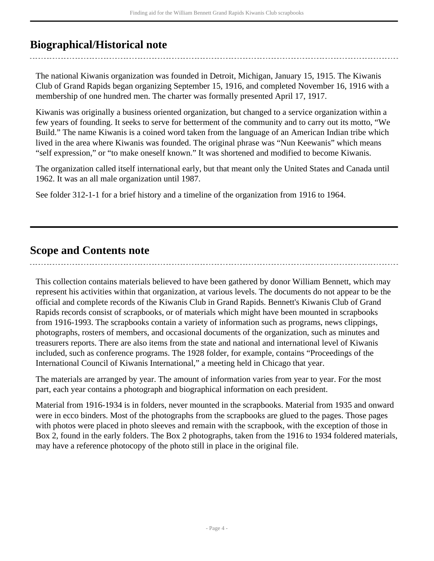## <span id="page-3-0"></span>**Biographical/Historical note**

The national Kiwanis organization was founded in Detroit, Michigan, January 15, 1915. The Kiwanis Club of Grand Rapids began organizing September 15, 1916, and completed November 16, 1916 with a membership of one hundred men. The charter was formally presented April 17, 1917.

Kiwanis was originally a business oriented organization, but changed to a service organization within a few years of founding. It seeks to serve for betterment of the community and to carry out its motto, "We Build." The name Kiwanis is a coined word taken from the language of an American Indian tribe which lived in the area where Kiwanis was founded. The original phrase was "Nun Keewanis" which means "self expression," or "to make oneself known." It was shortened and modified to become Kiwanis.

The organization called itself international early, but that meant only the United States and Canada until 1962. It was an all male organization until 1987.

See folder 312-1-1 for a brief history and a timeline of the organization from 1916 to 1964.

### <span id="page-3-1"></span>**Scope and Contents note**

This collection contains materials believed to have been gathered by donor William Bennett, which may represent his activities within that organization, at various levels. The documents do not appear to be the official and complete records of the Kiwanis Club in Grand Rapids. Bennett's Kiwanis Club of Grand Rapids records consist of scrapbooks, or of materials which might have been mounted in scrapbooks from 1916-1993. The scrapbooks contain a variety of information such as programs, news clippings, photographs, rosters of members, and occasional documents of the organization, such as minutes and treasurers reports. There are also items from the state and national and international level of Kiwanis included, such as conference programs. The 1928 folder, for example, contains "Proceedings of the International Council of Kiwanis International," a meeting held in Chicago that year.

The materials are arranged by year. The amount of information varies from year to year. For the most part, each year contains a photograph and biographical information on each president.

Material from 1916-1934 is in folders, never mounted in the scrapbooks. Material from 1935 and onward were in ecco binders. Most of the photographs from the scrapbooks are glued to the pages. Those pages with photos were placed in photo sleeves and remain with the scrapbook, with the exception of those in Box 2, found in the early folders. The Box 2 photographs, taken from the 1916 to 1934 foldered materials, may have a reference photocopy of the photo still in place in the original file.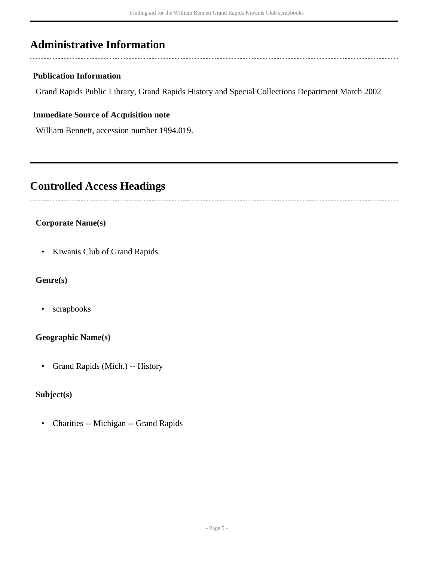## <span id="page-4-0"></span>**Administrative Information**

#### **Publication Information**

Grand Rapids Public Library, Grand Rapids History and Special Collections Department March 2002

#### **Immediate Source of Acquisition note**

William Bennett, accession number 1994.019.

### <span id="page-4-1"></span>**Controlled Access Headings**

#### **Corporate Name(s)**

• Kiwanis Club of Grand Rapids.

#### **Genre(s)**

• scrapbooks

#### **Geographic Name(s)**

• Grand Rapids (Mich.) -- History

#### **Subject(s)**

• Charities -- Michigan -- Grand Rapids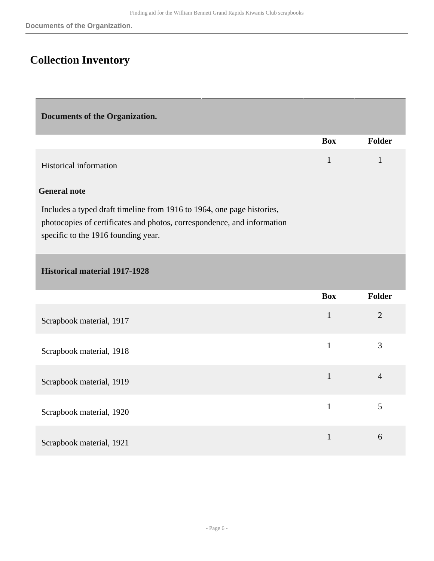## <span id="page-5-0"></span>**Collection Inventory**

<span id="page-5-1"></span>**Documents of the Organization.** 

<span id="page-5-2"></span>

|                                                                                                                                                                                          | <b>Box</b>   | Folder         |
|------------------------------------------------------------------------------------------------------------------------------------------------------------------------------------------|--------------|----------------|
| <b>Historical information</b>                                                                                                                                                            | $\mathbf{1}$ | $\mathbf{1}$   |
| <b>General note</b>                                                                                                                                                                      |              |                |
| Includes a typed draft timeline from 1916 to 1964, one page histories,<br>photocopies of certificates and photos, correspondence, and information<br>specific to the 1916 founding year. |              |                |
| <b>Historical material 1917-1928</b>                                                                                                                                                     |              |                |
|                                                                                                                                                                                          | <b>Box</b>   | Folder         |
| Scrapbook material, 1917                                                                                                                                                                 | $\mathbf{1}$ | $\overline{2}$ |
| Scrapbook material, 1918                                                                                                                                                                 | $\mathbf{1}$ | $\overline{3}$ |
| Scrapbook material, 1919                                                                                                                                                                 | $\mathbf{1}$ | $\overline{4}$ |
| Scrapbook material, 1920                                                                                                                                                                 | $\mathbf{1}$ | 5              |
| Scrapbook material, 1921                                                                                                                                                                 | $\mathbf{1}$ | 6              |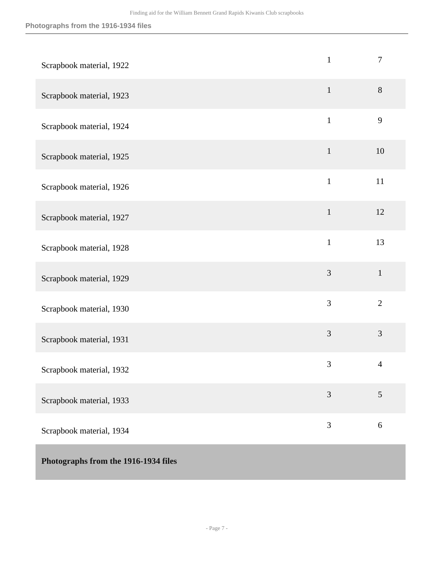<span id="page-6-0"></span>

| Scrapbook material, 1922             | $\mathbf{1}$   | 7              |
|--------------------------------------|----------------|----------------|
| Scrapbook material, 1923             | $\mathbf{1}$   | $8\,$          |
| Scrapbook material, 1924             | $\mathbf{1}$   | 9              |
| Scrapbook material, 1925             | $\mathbf{1}$   | 10             |
| Scrapbook material, 1926             | $\mathbf{1}$   | 11             |
| Scrapbook material, 1927             | $\mathbf 1$    | 12             |
| Scrapbook material, 1928             | $\mathbf{1}$   | 13             |
| Scrapbook material, 1929             | $\mathfrak{Z}$ | $\mathbf{1}$   |
| Scrapbook material, 1930             | 3              | $\overline{2}$ |
| Scrapbook material, 1931             | 3              | 3              |
| Scrapbook material, 1932             | $\mathfrak{Z}$ | 4              |
| Scrapbook material, 1933             | $\overline{3}$ | $\mathfrak{S}$ |
| Scrapbook material, 1934             | 3              | 6              |
| Photographs from the 1916-1934 files |                |                |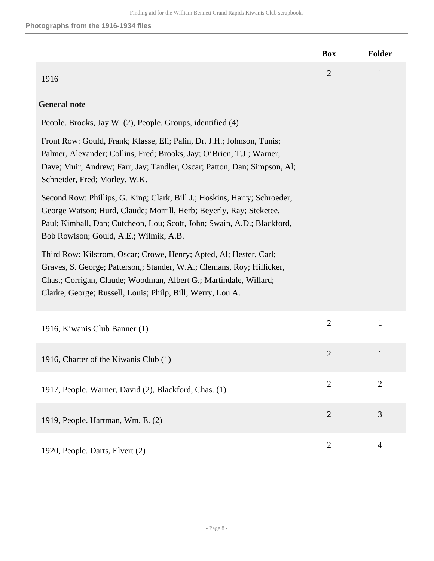|                                                                                                                                                                                                                                                                                 | <b>Box</b>     | <b>Folder</b>  |
|---------------------------------------------------------------------------------------------------------------------------------------------------------------------------------------------------------------------------------------------------------------------------------|----------------|----------------|
| 1916                                                                                                                                                                                                                                                                            | $\overline{2}$ | $\mathbf{1}$   |
| <b>General note</b>                                                                                                                                                                                                                                                             |                |                |
| People. Brooks, Jay W. (2), People. Groups, identified (4)                                                                                                                                                                                                                      |                |                |
| Front Row: Gould, Frank; Klasse, Eli; Palin, Dr. J.H.; Johnson, Tunis;<br>Palmer, Alexander; Collins, Fred; Brooks, Jay; O'Brien, T.J.; Warner,<br>Dave; Muir, Andrew; Farr, Jay; Tandler, Oscar; Patton, Dan; Simpson, Al;<br>Schneider, Fred; Morley, W.K.                    |                |                |
| Second Row: Phillips, G. King; Clark, Bill J.; Hoskins, Harry; Schroeder,<br>George Watson; Hurd, Claude; Morrill, Herb; Beyerly, Ray; Steketee,<br>Paul; Kimball, Dan; Cutcheon, Lou; Scott, John; Swain, A.D.; Blackford,<br>Bob Rowlson; Gould, A.E.; Wilmik, A.B.           |                |                |
| Third Row: Kilstrom, Oscar; Crowe, Henry; Apted, Al; Hester, Carl;<br>Graves, S. George; Patterson,; Stander, W.A.; Clemans, Roy; Hillicker,<br>Chas.; Corrigan, Claude; Woodman, Albert G.; Martindale, Willard;<br>Clarke, George; Russell, Louis; Philp, Bill; Werry, Lou A. |                |                |
| 1916, Kiwanis Club Banner (1)                                                                                                                                                                                                                                                   | $\overline{2}$ | $\mathbf{1}$   |
| 1916, Charter of the Kiwanis Club (1)                                                                                                                                                                                                                                           | $\overline{2}$ | $\mathbf{1}$   |
| 1917, People. Warner, David (2), Blackford, Chas. (1)                                                                                                                                                                                                                           | $\overline{2}$ | $\overline{2}$ |
| 1919, People. Hartman, Wm. E. (2)                                                                                                                                                                                                                                               | $\overline{2}$ | 3              |
| 1920, People. Darts, Elvert (2)                                                                                                                                                                                                                                                 | $\overline{2}$ | 4              |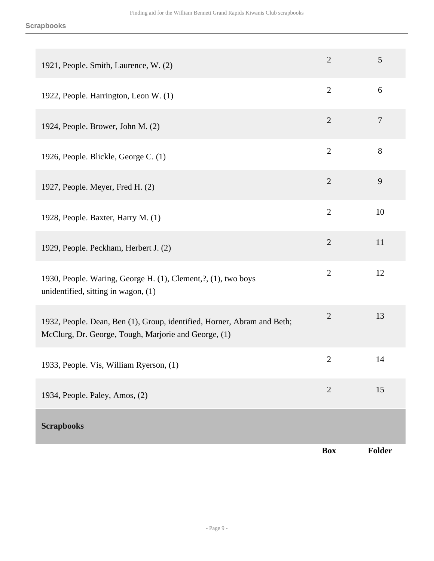<span id="page-8-0"></span>

| 1921, People. Smith, Laurence, W. (2)                                                                                           | $\overline{2}$ | 5              |
|---------------------------------------------------------------------------------------------------------------------------------|----------------|----------------|
| 1922, People. Harrington, Leon W. (1)                                                                                           | $\overline{2}$ | 6              |
| 1924, People. Brower, John M. (2)                                                                                               | $\overline{2}$ | $\tau$         |
| 1926, People. Blickle, George C. (1)                                                                                            | $\overline{2}$ | 8              |
| 1927, People. Meyer, Fred H. (2)                                                                                                | $\overline{2}$ | $\overline{9}$ |
| 1928, People. Baxter, Harry M. (1)                                                                                              | $\mathbf{2}$   | 10             |
| 1929, People. Peckham, Herbert J. (2)                                                                                           | $\mathbf{2}$   | 11             |
| 1930, People. Waring, George H. (1), Clement, ?, (1), two boys<br>unidentified, sitting in wagon, $(1)$                         | $\mathbf{2}$   | 12             |
| 1932, People. Dean, Ben (1), Group, identified, Horner, Abram and Beth;<br>McClurg, Dr. George, Tough, Marjorie and George, (1) | $\overline{2}$ | 13             |
| 1933, People. Vis, William Ryerson, (1)                                                                                         | $\overline{2}$ | 14             |
| 1934, People. Paley, Amos, (2)                                                                                                  | $\overline{2}$ | 15             |
| <b>Scrapbooks</b>                                                                                                               |                |                |
|                                                                                                                                 | <b>Box</b>     | Folder         |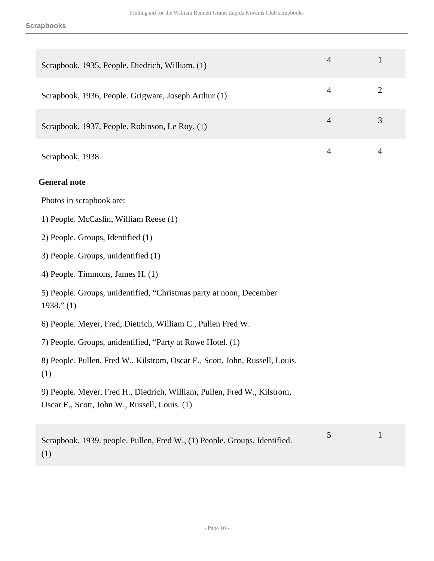| Scrapbook, 1935, People. Diedrich, William. (1)                                                                           | $\overline{4}$ | $\mathbf{1}$   |
|---------------------------------------------------------------------------------------------------------------------------|----------------|----------------|
| Scrapbook, 1936, People. Grigware, Joseph Arthur (1)                                                                      | $\overline{4}$ | $\overline{2}$ |
| Scrapbook, 1937, People. Robinson, Le Roy. (1)                                                                            | $\overline{4}$ | 3              |
| Scrapbook, 1938                                                                                                           | $\overline{4}$ | $\overline{4}$ |
| <b>General note</b>                                                                                                       |                |                |
| Photos in scrapbook are:                                                                                                  |                |                |
| 1) People. McCaslin, William Reese (1)                                                                                    |                |                |
| 2) People. Groups, Identified (1)                                                                                         |                |                |
| 3) People. Groups, unidentified (1)                                                                                       |                |                |
| 4) People. Timmons, James H. (1)                                                                                          |                |                |
| 5) People. Groups, unidentified, "Christmas party at noon, December<br>1938." (1)                                         |                |                |
| 6) People. Meyer, Fred, Dietrich, William C., Pullen Fred W.                                                              |                |                |
| 7) People. Groups, unidentified, "Party at Rowe Hotel. (1)                                                                |                |                |
| 8) People. Pullen, Fred W., Kilstrom, Oscar E., Scott, John, Russell, Louis.<br>(1)                                       |                |                |
| 9) People. Meyer, Fred H., Diedrich, William, Pullen, Fred W., Kilstrom,<br>Oscar E., Scott, John W., Russell, Louis. (1) |                |                |
| Scrapbook, 1939. people. Pullen, Fred W., (1) People. Groups, Identified.<br>(1)                                          | 5              | $\mathbf{1}$   |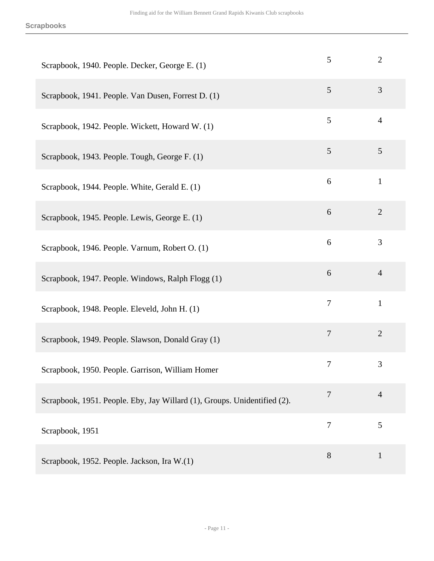| Scrapbook, 1940. People. Decker, George E. (1)                           | 5              | $\overline{2}$ |
|--------------------------------------------------------------------------|----------------|----------------|
| Scrapbook, 1941. People. Van Dusen, Forrest D. (1)                       | 5              | 3              |
| Scrapbook, 1942. People. Wickett, Howard W. (1)                          | 5              | $\overline{4}$ |
| Scrapbook, 1943. People. Tough, George F. (1)                            | $\mathfrak{S}$ | 5              |
| Scrapbook, 1944. People. White, Gerald E. (1)                            | 6              | $\mathbf{1}$   |
| Scrapbook, 1945. People. Lewis, George E. (1)                            | 6              | $\overline{2}$ |
| Scrapbook, 1946. People. Varnum, Robert O. (1)                           | 6              | 3              |
| Scrapbook, 1947. People. Windows, Ralph Flogg (1)                        | 6              | $\overline{4}$ |
| Scrapbook, 1948. People. Eleveld, John H. (1)                            | $\overline{7}$ | $\mathbf{1}$   |
| Scrapbook, 1949. People. Slawson, Donald Gray (1)                        | $\overline{7}$ | $\overline{2}$ |
| Scrapbook, 1950. People. Garrison, William Homer                         | $\tau$         | 3              |
| Scrapbook, 1951. People. Eby, Jay Willard (1), Groups. Unidentified (2). | $\overline{7}$ | $\overline{4}$ |
| Scrapbook, 1951                                                          | $\overline{7}$ | 5              |
| Scrapbook, 1952. People. Jackson, Ira W.(1)                              | 8              | $\mathbf{1}$   |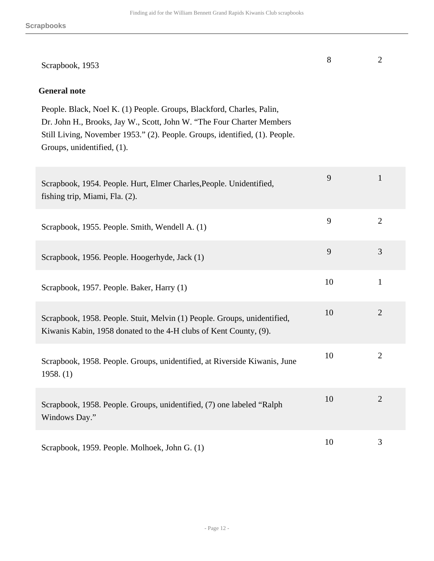| Scrapbook, 1953                                                                                                                                                                                                                                             | 8  | $\overline{2}$ |
|-------------------------------------------------------------------------------------------------------------------------------------------------------------------------------------------------------------------------------------------------------------|----|----------------|
| <b>General note</b>                                                                                                                                                                                                                                         |    |                |
| People. Black, Noel K. (1) People. Groups, Blackford, Charles, Palin,<br>Dr. John H., Brooks, Jay W., Scott, John W. "The Four Charter Members<br>Still Living, November 1953." (2). People. Groups, identified, (1). People.<br>Groups, unidentified, (1). |    |                |
| Scrapbook, 1954. People. Hurt, Elmer Charles, People. Unidentified,<br>fishing trip, Miami, Fla. (2).                                                                                                                                                       | 9  | 1              |
| Scrapbook, 1955. People. Smith, Wendell A. (1)                                                                                                                                                                                                              | 9  | $\overline{2}$ |
| Scrapbook, 1956. People. Hoogerhyde, Jack (1)                                                                                                                                                                                                               | 9  | 3              |
| Scrapbook, 1957. People. Baker, Harry (1)                                                                                                                                                                                                                   | 10 | $\mathbf{1}$   |
| Scrapbook, 1958. People. Stuit, Melvin (1) People. Groups, unidentified,<br>Kiwanis Kabin, 1958 donated to the 4-H clubs of Kent County, (9).                                                                                                               | 10 | $\overline{2}$ |
| Scrapbook, 1958. People. Groups, unidentified, at Riverside Kiwanis, June<br>1958. (1)                                                                                                                                                                      | 10 | $\overline{2}$ |
| Scrapbook, 1958. People. Groups, unidentified, (7) one labeled "Ralph<br>Windows Day."                                                                                                                                                                      | 10 | $\overline{2}$ |
| Scrapbook, 1959. People. Molhoek, John G. (1)                                                                                                                                                                                                               | 10 | 3              |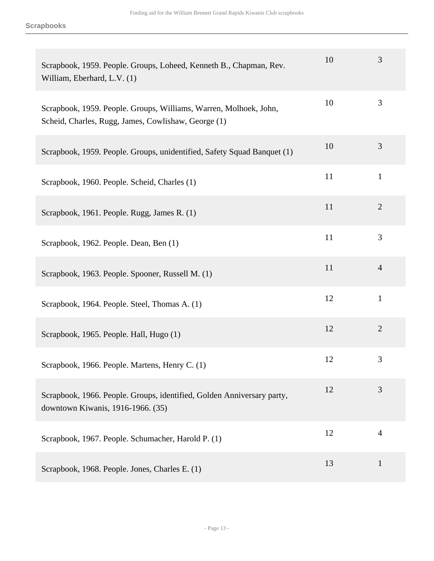| Scrapbook, 1959. People. Groups, Loheed, Kenneth B., Chapman, Rev.<br>William, Eberhard, L.V. (1)                        | 10 | 3              |
|--------------------------------------------------------------------------------------------------------------------------|----|----------------|
| Scrapbook, 1959. People. Groups, Williams, Warren, Molhoek, John,<br>Scheid, Charles, Rugg, James, Cowlishaw, George (1) | 10 | 3              |
| Scrapbook, 1959. People. Groups, unidentified, Safety Squad Banquet (1)                                                  | 10 | 3              |
| Scrapbook, 1960. People. Scheid, Charles (1)                                                                             | 11 | $\mathbf{1}$   |
| Scrapbook, 1961. People. Rugg, James R. (1)                                                                              | 11 | $\overline{2}$ |
| Scrapbook, 1962. People. Dean, Ben (1)                                                                                   | 11 | 3              |
| Scrapbook, 1963. People. Spooner, Russell M. (1)                                                                         | 11 | $\overline{4}$ |
| Scrapbook, 1964. People. Steel, Thomas A. (1)                                                                            | 12 | $\mathbf{1}$   |
| Scrapbook, 1965. People. Hall, Hugo (1)                                                                                  | 12 | $\overline{2}$ |
| Scrapbook, 1966. People. Martens, Henry C. (1)                                                                           | 12 | 3              |
| Scrapbook, 1966. People. Groups, identified, Golden Anniversary party,<br>downtown Kiwanis, 1916-1966. (35)              | 12 | 3              |
| Scrapbook, 1967. People. Schumacher, Harold P. (1)                                                                       | 12 | $\overline{4}$ |
| Scrapbook, 1968. People. Jones, Charles E. (1)                                                                           | 13 | $\mathbf{1}$   |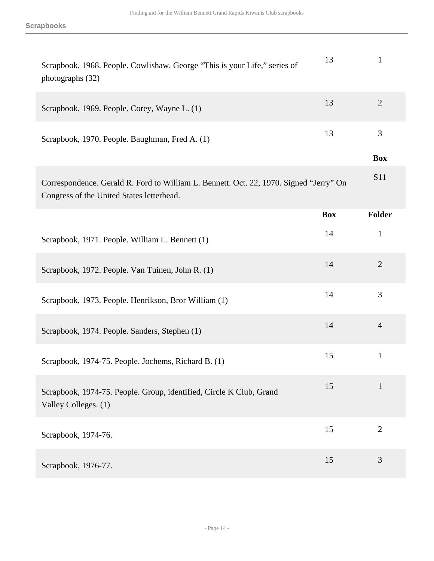| Scrapbook, 1968. People. Cowlishaw, George "This is your Life," series of<br>photographs (32)                                       | 13         | $\mathbf{1}$   |
|-------------------------------------------------------------------------------------------------------------------------------------|------------|----------------|
| Scrapbook, 1969. People. Corey, Wayne L. (1)                                                                                        | 13         | $\overline{2}$ |
| Scrapbook, 1970. People. Baughman, Fred A. (1)                                                                                      | 13         | 3              |
|                                                                                                                                     |            | <b>Box</b>     |
| Correspondence. Gerald R. Ford to William L. Bennett. Oct. 22, 1970. Signed "Jerry" On<br>Congress of the United States letterhead. |            | S11            |
|                                                                                                                                     | <b>Box</b> | Folder         |
| Scrapbook, 1971. People. William L. Bennett (1)                                                                                     | 14         | $\mathbf{1}$   |
| Scrapbook, 1972. People. Van Tuinen, John R. (1)                                                                                    | 14         | $\overline{2}$ |
| Scrapbook, 1973. People. Henrikson, Bror William (1)                                                                                | 14         | 3              |
| Scrapbook, 1974. People. Sanders, Stephen (1)                                                                                       | 14         | $\overline{4}$ |
| Scrapbook, 1974-75. People. Jochems, Richard B. (1)                                                                                 | 15         | $\mathbf{1}$   |
| Scrapbook, 1974-75. People. Group, identified, Circle K Club, Grand<br>Valley Colleges. (1)                                         | 15         | $\mathbf{1}$   |
| Scrapbook, 1974-76.                                                                                                                 | 15         | $\overline{2}$ |
| Scrapbook, 1976-77.                                                                                                                 | 15         | 3              |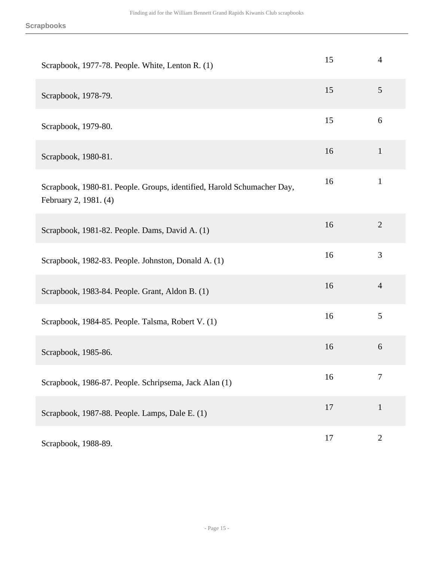| Scrapbook, 1977-78. People. White, Lenton R. (1)                                                | 15 | $\overline{4}$ |
|-------------------------------------------------------------------------------------------------|----|----------------|
| Scrapbook, 1978-79.                                                                             | 15 | 5              |
| Scrapbook, 1979-80.                                                                             | 15 | 6              |
| Scrapbook, 1980-81.                                                                             | 16 | $\mathbf{1}$   |
| Scrapbook, 1980-81. People. Groups, identified, Harold Schumacher Day,<br>February 2, 1981. (4) | 16 | $\mathbf{1}$   |
| Scrapbook, 1981-82. People. Dams, David A. (1)                                                  | 16 | $\overline{2}$ |
| Scrapbook, 1982-83. People. Johnston, Donald A. (1)                                             | 16 | 3              |
| Scrapbook, 1983-84. People. Grant, Aldon B. (1)                                                 | 16 | $\overline{4}$ |
| Scrapbook, 1984-85. People. Talsma, Robert V. (1)                                               | 16 | 5              |
| Scrapbook, 1985-86.                                                                             | 16 | 6              |
| Scrapbook, 1986-87. People. Schripsema, Jack Alan (1)                                           | 16 | 7              |
| Scrapbook, 1987-88. People. Lamps, Dale E. (1)                                                  | 17 | $\mathbf{1}$   |
| Scrapbook, 1988-89.                                                                             | 17 | $\mathbf{2}$   |